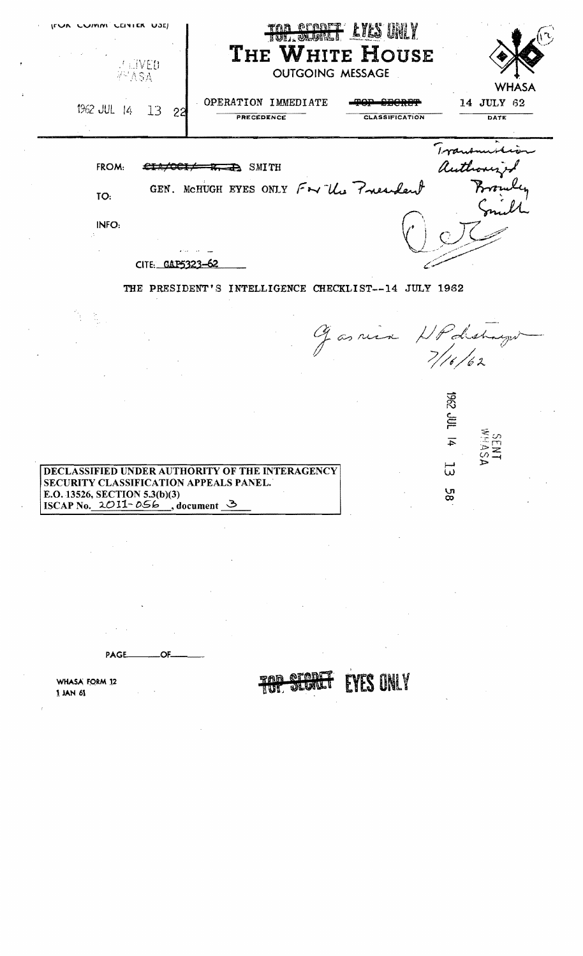| <b>IFUR CUMM CENTER USE)</b><br>U ⊞VED<br>∛™ASA                                                                                                                    | TAN OFBET LYLS UNLY<br>THE WHITE HOUSE<br><b>OUTGOING MESSAGE</b> | <b>WHASA</b>                           |
|--------------------------------------------------------------------------------------------------------------------------------------------------------------------|-------------------------------------------------------------------|----------------------------------------|
| 1962 JUL $14$<br>-13<br>-22                                                                                                                                        | OPERATION IMMEDIATE<br>PRECEDENCE<br><b>CLASSIFICATION</b>        | 14 JULY 62<br>DATE                     |
| FROM:                                                                                                                                                              | $\Rightarrow$ SMITH                                               | author                                 |
| TO:                                                                                                                                                                | GEN. MCHUGH EYES ONLY For the President                           |                                        |
| INFO:                                                                                                                                                              |                                                                   |                                        |
| CITE: CAP5323                                                                                                                                                      |                                                                   |                                        |
|                                                                                                                                                                    | THE PRESIDENT'S INTELLIGENCE CHECKLIST--14 JULY 1962              |                                        |
|                                                                                                                                                                    |                                                                   | Gasnier HPdeshays                      |
|                                                                                                                                                                    |                                                                   | <b>TAP 2961</b><br>لغا ت<br><b>NTA</b> |
| DECLASSIFIED UNDER AUTHORITY OF THE INTERAGENCY<br>SECURITY CLASSIFICATION APPEALS PANEL.<br>E.O. 13526, SECTION 5.3(b)(3)<br>ISCAP No. $2O11 - 0.66$ , document 3 |                                                                   | ω<br>58                                |
|                                                                                                                                                                    |                                                                   |                                        |
|                                                                                                                                                                    |                                                                   |                                        |

**TOP STORET** 

**EYES ONLY** 

PAGE\_ \_OF\_

 $\lambda$  $\sim 10^7$ 

WHASA FORM 12  $1$  JAN  $61$ 

 $\frac{1}{2}$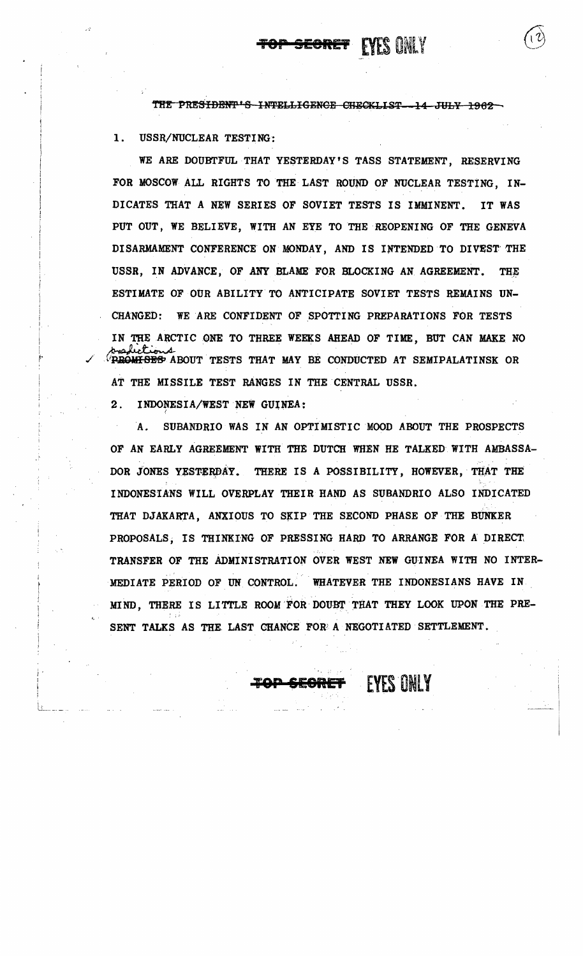## SEGRET EYES ONLY

THE PRESIDENT'S INTELLIGENCE CHECKLIST 14 JULY 1962

1. USSR/NUCLEAR TESTING:

WE ARE DOUBTFUL THAT YESTERDAY'S TASS STATEMENT, RESERVING FOR MOSCOW ALL RIGHTS TO THE LAST ROUND OF NUCLEAR TESTING, IN-DICATES THAT A NEW SERIES OF SOVIET TESTS IS IMMINENT. IT WAS PUT OUT, WE BELIEVE, WITH AN EYE TO THE REOPENING OF THE GENEVA DISARMAMENT CONFERENCE ON MONDAY, AND IS INTENDED TO DIVEST THE USSR, IN ADVANCE, OF ANY BLAME FOR BLOCKING AN AGREEMENT. THE ESTIMATE OF OUR ABILITY TO ANTICIPATE SOVIET TESTS REMAINS UN-CHANGED: WEARE CONFIDENT OF SPOTTING PREPARATIONS FOR TESTS IN THE ARCTIC ONE TO THREE WEEKS AHEAD OF TIME, BUT CAN MAKE NO  $\sqrt{2}$   $\sqrt{2}$   $\sqrt{2}$   $\sqrt{2}$   $\sqrt{2}$   $\sqrt{2}$   $\sqrt{2}$   $\sqrt{2}$   $\sqrt{2}$   $\sqrt{2}$   $\sqrt{2}$   $\sqrt{2}$   $\sqrt{2}$   $\sqrt{2}$   $\sqrt{2}$   $\sqrt{2}$   $\sqrt{2}$   $\sqrt{2}$   $\sqrt{2}$   $\sqrt{2}$   $\sqrt{2}$   $\sqrt{2}$   $\sqrt{2}$   $\sqrt{2}$   $\sqrt{2}$   $\sqrt{2}$   $\sqrt{2}$   $\sqrt{2$ AT THE MISSILE TEST RANGES IN THE CENTRAL USSR. IN THE ARCITU ONE TO THREE WEEDS<br>
PROWFISES ABOUT TESTS THAT MAY<br>
AT THE MISSILE TEST RANGES IN<br>
2. INDONESIA/WEST NEW GUINEA:<br>
A. SUBANDRIO WAS IN AN OP

A. SUBANDRIO WAS IN AN OPTIMISTIC MOOD ABOUT THE PROSPECTS OF AN EARLY AGREEMENT WITH THE DUTCH WHEN HE TALKED WITH AMBASSA . ..- . DOR JONES YESTERDAY. THERE IS A POSSIBILITY, HOWEVER, THAT THE INDONESIANS WILL OVERPLAY THEIR HAND AS SUBANDRIO ALSO INDICATED THAT DJAKARTA, ANXIOUS TO SKIP THE SECOND PHASE OF THE BUNKER PROPOSALS, IS THINKING OF PRESSING HARD TO ARRANGE FOR A DIRECT. TRANSFER OF THE ADMINISTRATION OVER WEST NEW GUINEA WITH NO INTER *• i* • '.' MEDIATE PERIOD OF UN CONTROL. WHATEVER THE INDONESIANS HAVE IN MIND, THERE IS LITTLE ROOM FOR DOUBT THAT THEY LOOK UPON THE PRE-SENT TALKS AS THE LAST CHANCE FOR A NEGOTIATED SETTLEMENT.

EYES ONLY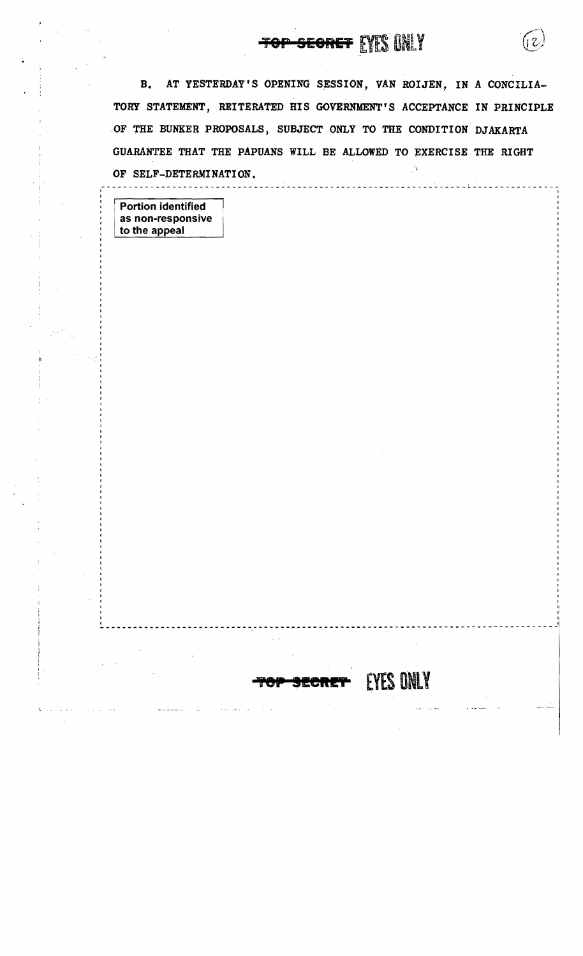## **1 SECRET EYES ONLY**

B. AT YESTERDAY'S OPENING SESSION, VAN ROIJEN, IN A CONCILIA-TORY STATEMENT, REITERATED HIS GOVERNMENT'S ACCEPTANCE IN PRINCIPLE OF THE BUNKER PROPOSALS, SUBJECT ONLY TO THE CONDITION DJAKARTA GUARANTEE THAT THE PAPUANS WILL BE ALLOWED TO EXERCISE THE RIGHT √. OF SELF-DETERMINATION.

~--------------------------~------------~------------------------------------------j

**EYES ONLY** 

-------------------------------------<sup>I</sup>

I

, " "I

: Portion identified as non-responsive , to the appeal

 $\frac{1}{2}$ 

 $\frac{1}{1}$ I  $\mathcal{L}_1^{\mathbf{F}}$  . , , ,

I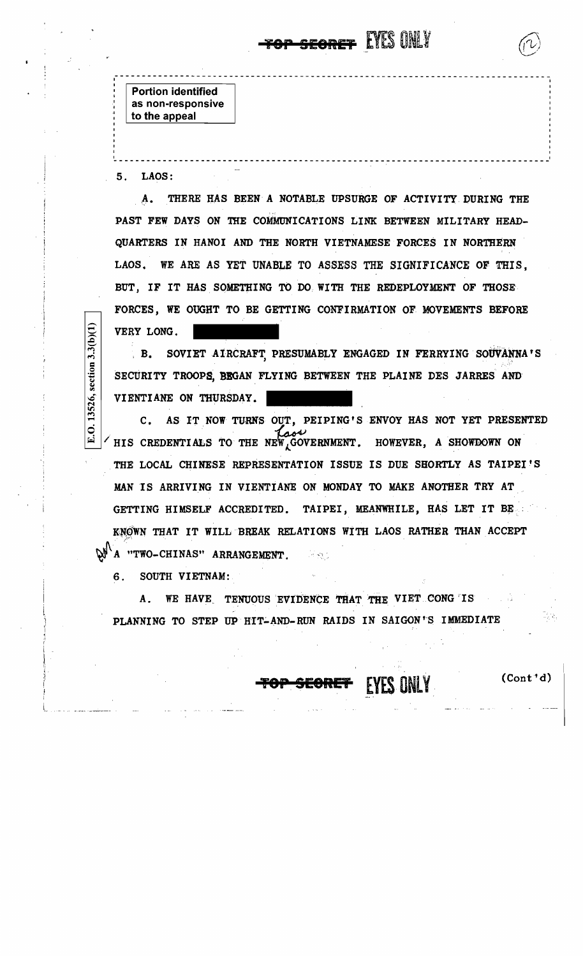**Portion identified** as non-responsive to the appeal

 $5.$ LAOS:

section  $3.3(b)(1)$ 

13526,

 $\dot{\mathbf{\circ}}$ 

THERE HAS BEEN A NOTABLE UPSURGE OF ACTIVITY DURING THE  $\mathbf{A}_{\bullet}$ PAST FEW DAYS ON THE COMMUNICATIONS LINK BETWEEN MILITARY HEAD-QUARTERS IN HANOI AND THE NORTH VIETNAMESE FORCES IN NORTHERN WE ARE AS YET UNABLE TO ASSESS THE SIGNIFICANCE OF THIS, LAOS. BUT, IF IT HAS SOMETHING TO DO WITH THE REDEPLOYMENT OF THOSE FORCES, WE OUGHT TO BE GETTING CONFIRMATION OF MOVEMENTS BEFORE VERY LONG.

SOVIET AIRCRAFT PRESUMABLY ENGAGED IN FERRYING SOUVANNA'S  $B<sub>1</sub>$ SECURITY TROOPS, BEGAN FLYING BETWEEN THE PLAINE DES JARRES AND VIENTIANE ON THURSDAY.

AS IT NOW TURNS OUT, PEIPING'S ENVOY HAS NOT YET PRESENTED  $\mathbf{c}$ . HIS CREDENTIALS TO THE NEW GOVERNMENT. HOWEVER, A SHOWDOWN ON THE LOCAL CHINESE REPRESENTATION ISSUE IS DUE SHORTLY AS TAIPEI'S MAN IS ARRIVING IN VIENTIANE ON MONDAY TO MAKE ANOTHER TRY AT TAIPEI, MEANWHILE, HAS LET IT BE GETTING HIMSELF ACCREDITED. KNOWN THAT IT WILL BREAK RELATIONS WITH LAOS RATHER THAN ACCEPT  $\mathbb{W}^{\setminus}$ A "TWO-CHINAS" ARRANGEMENT. 计回答

SOUTH VIETNAM: 6.

WE HAVE TENUOUS EVIDENCE THAT THE VIET CONG IS Α. PLANNING TO STEP UP HIT-AND-RUN RAIDS IN SAIGON'S IMMEDIATE

 $(Cont<sup>1</sup>d)$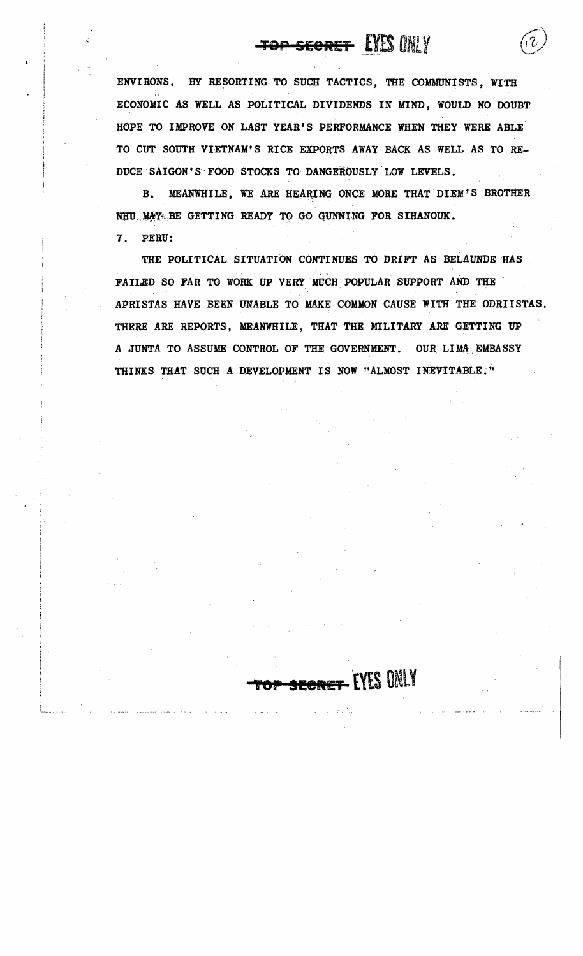## <del>top-secret</del> EYES ONLY

ENVIRONS. BY RESORTING TO SUCH TACTICS, THE COMMUNISTS, WITH ECONOMIC AS WELL AS POLITICAL DIVIDENDS IN MIND, WOULD NO DOUBT HOPE TO IMPROVE ON LAST YEAR'S PERFORMANCE WHEN THEY WERE ABLE TO CUT SOUTH VIETNAM'S RICE EXPORTS AWAY BACK AS WELL AS TO RE-DUCE SAIGON'S FOOD STOCKS TO DANGEROUSLY LOW LEVELS.

MEANWHILE, WE ARE HEARING ONCE MORE THAT DIEM'S BROTHER **B.** NHU MAY BE GETTING READY TO GO GUNNING FOR SIHANOUK.

7. PERU:

THE POLITICAL SITUATION CONTINUES TO DRIFT AS BELAUNDE HAS FAILED SO FAR TO WORK UP VERY MUCH POPULAR SUPPORT AND THE APRISTAS HAVE BEEN UNABLE TO MAKE COMMON CAUSE WITH THE ODRIISTAS. THERE ARE REPORTS, MEANWHILE, THAT THE MILITARY ARE GETTING UP A JUNTA TO ASSUME CONTROL OF THE GOVERNMENT. OUR LIMA EMBASSY THINKS THAT SUCH A DEVELOPMENT IS NOW "ALMOST INEVITABLE."

**RET-EYES ONLY**